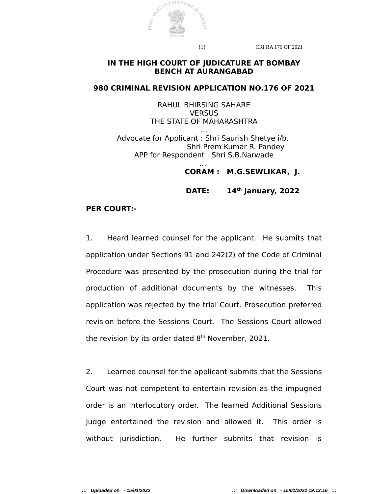

{1} CRI RA 176 OF 2021

## **IN THE HIGH COURT OF JUDICATURE AT BOMBAY BENCH AT AURANGABAD**

### **980 CRIMINAL REVISION APPLICATION NO.176 OF 2021**

RAHUL BHIRSING SAHARE **VERSUS** THE STATE OF MAHARASHTRA ...

Advocate for Applicant : Shri Saurish Shetye i/b. Shri Prem Kumar R. Pandey APP for Respondent : Shri S.B.Narwade

> … **CORAM : M.G.SEWLIKAR, J.**

**DATE: 14th January, 2022** 

## **PER COURT:-**

1. Heard learned counsel for the applicant. He submits that application under Sections 91 and 242(2) of the Code of Criminal Procedure was presented by the prosecution during the trial for production of additional documents by the witnesses. This application was rejected by the trial Court. Prosecution preferred revision before the Sessions Court. The Sessions Court allowed the revision by its order dated  $8<sup>th</sup>$  November, 2021.

2. Learned counsel for the applicant submits that the Sessions Court was not competent to entertain revision as the impugned order is an interlocutory order. The learned Additional Sessions Judge entertained the revision and allowed it. This order is without jurisdiction. He further submits that revision is